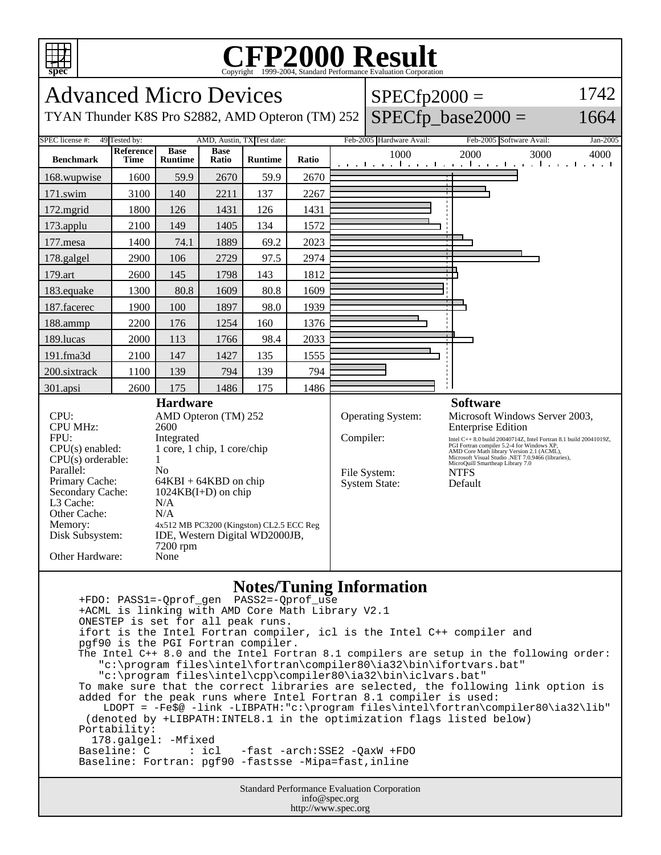

## **CFP2000 Result** Copyright 1999-2004, Standard Performance Evaluation Corporation

| <b>Advanced Micro Devices</b><br>TYAN Thunder K8S Pro S2882, AMD Opteron (TM) 252                                                                                                                            |                                                                                                                                                                                                                                                                                         |                               |                      |                                              |       | $SPECfp2000 =$                                                         | $SPECfp$ base2000 =                                                                                                                                                                                                                                                                                                                                                | 1742<br>1664                                           |                  |
|--------------------------------------------------------------------------------------------------------------------------------------------------------------------------------------------------------------|-----------------------------------------------------------------------------------------------------------------------------------------------------------------------------------------------------------------------------------------------------------------------------------------|-------------------------------|----------------------|----------------------------------------------|-------|------------------------------------------------------------------------|--------------------------------------------------------------------------------------------------------------------------------------------------------------------------------------------------------------------------------------------------------------------------------------------------------------------------------------------------------------------|--------------------------------------------------------|------------------|
| <b>SPEC</b> license #:<br><b>Benchmark</b>                                                                                                                                                                   | 49 Tested by:<br><b>Reference</b><br><b>Time</b>                                                                                                                                                                                                                                        | <b>Base</b><br><b>Runtime</b> | <b>Base</b><br>Ratio | AMD, Austin, TX Test date:<br><b>Runtime</b> | Ratio |                                                                        | Feb-2005 Hardware Avail:<br>1000                                                                                                                                                                                                                                                                                                                                   | Feb-2005 Software Avail:<br>2000<br>3000               | Jan-2005<br>4000 |
| 168.wupwise                                                                                                                                                                                                  | 1600                                                                                                                                                                                                                                                                                    | 59.9                          | 2670                 | 59.9                                         | 2670  |                                                                        |                                                                                                                                                                                                                                                                                                                                                                    | المتعبد المتعمل والمتعارف فبمالح فيمالح فيمالح فيمالحه |                  |
| 171.swim                                                                                                                                                                                                     | 3100                                                                                                                                                                                                                                                                                    | 140                           | 2211                 | 137                                          | 2267  |                                                                        |                                                                                                                                                                                                                                                                                                                                                                    |                                                        |                  |
| 172.mgrid                                                                                                                                                                                                    | 1800                                                                                                                                                                                                                                                                                    | 126                           | 1431                 | 126                                          | 1431  |                                                                        |                                                                                                                                                                                                                                                                                                                                                                    |                                                        |                  |
| 173.applu                                                                                                                                                                                                    | 2100                                                                                                                                                                                                                                                                                    | 149                           | 1405                 | 134                                          | 1572  |                                                                        |                                                                                                                                                                                                                                                                                                                                                                    |                                                        |                  |
| 177.mesa                                                                                                                                                                                                     | 1400                                                                                                                                                                                                                                                                                    | 74.1                          | 1889                 | 69.2                                         | 2023  |                                                                        |                                                                                                                                                                                                                                                                                                                                                                    |                                                        |                  |
| 178.galgel                                                                                                                                                                                                   | 2900                                                                                                                                                                                                                                                                                    | 106                           | 2729                 | 97.5                                         | 2974  |                                                                        |                                                                                                                                                                                                                                                                                                                                                                    |                                                        |                  |
| 179.art                                                                                                                                                                                                      | 2600                                                                                                                                                                                                                                                                                    | 145                           | 1798                 | 143                                          | 1812  |                                                                        |                                                                                                                                                                                                                                                                                                                                                                    |                                                        |                  |
| 183.equake                                                                                                                                                                                                   | 1300                                                                                                                                                                                                                                                                                    | 80.8                          | 1609                 | 80.8                                         | 1609  |                                                                        |                                                                                                                                                                                                                                                                                                                                                                    |                                                        |                  |
| 187.facerec                                                                                                                                                                                                  | 1900                                                                                                                                                                                                                                                                                    | 100                           | 1897                 | 98.0                                         | 1939  |                                                                        |                                                                                                                                                                                                                                                                                                                                                                    |                                                        |                  |
| 188.ammp                                                                                                                                                                                                     | 2200                                                                                                                                                                                                                                                                                    | 176                           | 1254                 | 160                                          | 1376  |                                                                        |                                                                                                                                                                                                                                                                                                                                                                    |                                                        |                  |
| 189.lucas                                                                                                                                                                                                    | 2000                                                                                                                                                                                                                                                                                    | 113                           | 1766                 | 98.4                                         | 2033  |                                                                        |                                                                                                                                                                                                                                                                                                                                                                    |                                                        |                  |
| 191.fma3d                                                                                                                                                                                                    | 2100                                                                                                                                                                                                                                                                                    | 147                           | 1427                 | 135                                          | 1555  |                                                                        |                                                                                                                                                                                                                                                                                                                                                                    |                                                        |                  |
| 200.sixtrack                                                                                                                                                                                                 | 1100                                                                                                                                                                                                                                                                                    | 139                           | 794                  | 139                                          | 794   |                                                                        |                                                                                                                                                                                                                                                                                                                                                                    |                                                        |                  |
| 301.apsi                                                                                                                                                                                                     | 2600                                                                                                                                                                                                                                                                                    | 175                           | 1486                 | 175                                          | 1486  |                                                                        |                                                                                                                                                                                                                                                                                                                                                                    |                                                        |                  |
| CPU:<br><b>CPU MHz:</b><br>FPU:<br>$CPU(s)$ enabled:<br>$CPU(s)$ orderable:<br>Parallel:<br>Primary Cache:<br>Secondary Cache:<br>L3 Cache:<br>Other Cache:<br>Memory:<br>Disk Subsystem:<br>Other Hardware: | <b>Hardware</b><br>AMD Opteron (TM) 252<br>2600<br>Integrated<br>1 core, 1 chip, 1 core/chip<br>1<br>N <sub>o</sub><br>$64KBI + 64KBD$ on chip<br>$1024KB(I+D)$ on chip<br>N/A<br>N/A<br>4x512 MB PC3200 (Kingston) CL2.5 ECC Reg<br>IDE, Western Digital WD2000JB,<br>7200 rpm<br>None |                               |                      |                                              |       | <b>Operating System:</b><br>Compiler:<br>File System:<br>System State: | <b>Software</b><br>Microsoft Windows Server 2003,<br><b>Enterprise Edition</b><br>Intel C++ 8.0 build 20040714Z, Intel Fortran 8.1 build 20041019Z,<br>PGI Fortran compiler 5.2-4 for Windows XP,<br>AMD Core Math library Version 2.1 (ACML),<br>Microsoft Visual Studio .NET 7.0.9466 (libraries),<br>MicroQuill Smartheap Library 7.0<br><b>NTFS</b><br>Default |                                                        |                  |

## **Notes/Tuning Information**

```
Standard Performance Evaluation Corporation
 +FDO: PASS1=-Qprof_gen PASS2=-Qprof_use
 +ACML is linking with AMD Core Math Library V2.1
 ONESTEP is set for all peak runs.
 ifort is the Intel Fortran compiler, icl is the Intel C++ compiler and
 pgf90 is the PGI Fortran compiler.
 The Intel C++ 8.0 and the Intel Fortran 8.1 compilers are setup in the following order:
    "c:\program files\intel\fortran\compiler80\ia32\bin\ifortvars.bat"
    "c:\program files\intel\cpp\compiler80\ia32\bin\iclvars.bat"
 To make sure that the correct libraries are selected, the following link option is 
 added for the peak runs where Intel Fortran 8.1 compiler is used:
    LDOPT = -Fe$@ -link -LIBPATH:"c:\program files\intel\fortran\compiler80\ia32\lib"
  (denoted by +LIBPATH:INTEL8.1 in the optimization flags listed below)
 Portability: 
  178.galgel: -Mfixed<br>useline: C : icl
Baseline: C : icl -fast -arch: SSE2 -QaxW +FDO
 Baseline: Fortran: pgf90 -fastsse -Mipa=fast,inline
```
info@spec.org http://www.spec.org